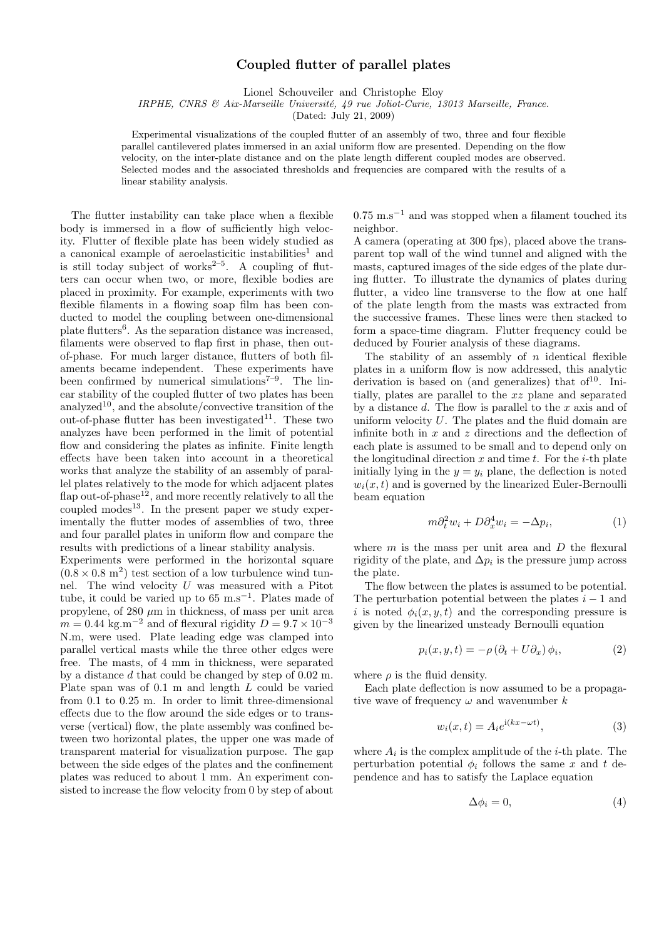## Coupled flutter of parallel plates

Lionel Schouveiler and Christophe Eloy

IRPHE, CNRS & Aix-Marseille Université, 49 rue Joliot-Curie, 13013 Marseille, France.

(Dated: July 21, 2009)

Experimental visualizations of the coupled flutter of an assembly of two, three and four flexible parallel cantilevered plates immersed in an axial uniform flow are presented. Depending on the flow velocity, on the inter-plate distance and on the plate length different coupled modes are observed. Selected modes and the associated thresholds and frequencies are compared with the results of a linear stability analysis.

The flutter instability can take place when a flexible body is immersed in a flow of sufficiently high velocity. Flutter of flexible plate has been widely studied as a canonical example of aeroelasticitic instabilities<sup>1</sup> and is still today subject of works $2-5$ . A coupling of flutters can occur when two, or more, flexible bodies are placed in proximity. For example, experiments with two flexible filaments in a flowing soap film has been conducted to model the coupling between one-dimensional plate flutters<sup>6</sup>. As the separation distance was increased, filaments were observed to flap first in phase, then outof-phase. For much larger distance, flutters of both filaments became independent. These experiments have been confirmed by numerical simulations<sup> $7-9$ </sup>. The linear stability of the coupled flutter of two plates has been analyzed<sup>10</sup>, and the absolute/convective transition of the out-of-phase flutter has been investigated<sup>11</sup>. These two analyzes have been performed in the limit of potential flow and considering the plates as infinite. Finite length effects have been taken into account in a theoretical works that analyze the stability of an assembly of parallel plates relatively to the mode for which adjacent plates flap out-of-phase<sup>12</sup>, and more recently relatively to all the coupled modes<sup>13</sup>. In the present paper we study experimentally the flutter modes of assemblies of two, three and four parallel plates in uniform flow and compare the results with predictions of a linear stability analysis.

Experiments were performed in the horizontal square  $(0.8 \times 0.8 \text{ m}^2)$  test section of a low turbulence wind tunnel. The wind velocity  $U$  was measured with a Pitot tube, it could be varied up to  $65 \text{ m.s}^{-1}$ . Plates made of propylene, of  $280 \mu m$  in thickness, of mass per unit area  $m = 0.44 \text{ kg.m}^{-2}$  and of flexural rigidity  $D = 9.7 \times 10^{-3}$ N.m, were used. Plate leading edge was clamped into parallel vertical masts while the three other edges were free. The masts, of 4 mm in thickness, were separated by a distance d that could be changed by step of 0.02 m. Plate span was of 0.1 m and length L could be varied from 0.1 to 0.25 m. In order to limit three-dimensional effects due to the flow around the side edges or to transverse (vertical) flow, the plate assembly was confined between two horizontal plates, the upper one was made of transparent material for visualization purpose. The gap between the side edges of the plates and the confinement plates was reduced to about 1 mm. An experiment consisted to increase the flow velocity from 0 by step of about  $0.75 \text{ m.s}^{-1}$  and was stopped when a filament touched its neighbor.

A camera (operating at 300 fps), placed above the transparent top wall of the wind tunnel and aligned with the masts, captured images of the side edges of the plate during flutter. To illustrate the dynamics of plates during flutter, a video line transverse to the flow at one half of the plate length from the masts was extracted from the successive frames. These lines were then stacked to form a space-time diagram. Flutter frequency could be deduced by Fourier analysis of these diagrams.

The stability of an assembly of  $n$  identical flexible plates in a uniform flow is now addressed, this analytic derivation is based on (and generalizes) that of  $10<sup>10</sup>$ . Initially, plates are parallel to the xz plane and separated by a distance  $d$ . The flow is parallel to the  $x$  axis and of uniform velocity  $U$ . The plates and the fluid domain are infinite both in  $x$  and  $z$  directions and the deflection of each plate is assumed to be small and to depend only on the longitudinal direction  $x$  and time  $t$ . For the *i*-th plate initially lying in the  $y = y_i$  plane, the deflection is noted  $w_i(x, t)$  and is governed by the linearized Euler-Bernoulli beam equation

$$
m\partial_t^2 w_i + D\partial_x^4 w_i = -\Delta p_i,\tag{1}
$$

where  $m$  is the mass per unit area and  $D$  the flexural rigidity of the plate, and  $\Delta p_i$  is the pressure jump across the plate.

The flow between the plates is assumed to be potential. The perturbation potential between the plates  $i - 1$  and i is noted  $\phi_i(x, y, t)$  and the corresponding pressure is given by the linearized unsteady Bernoulli equation

$$
p_i(x, y, t) = -\rho \left(\partial_t + U \partial_x\right) \phi_i,\tag{2}
$$

where  $\rho$  is the fluid density.

Each plate deflection is now assumed to be a propagative wave of frequency  $\omega$  and wavenumber k

$$
w_i(x,t) = A_i e^{i(kx - \omega t)}, \qquad (3)
$$

where  $A_i$  is the complex amplitude of the *i*-th plate. The perturbation potential  $\phi_i$  follows the same x and t dependence and has to satisfy the Laplace equation

$$
\Delta \phi_i = 0,\tag{4}
$$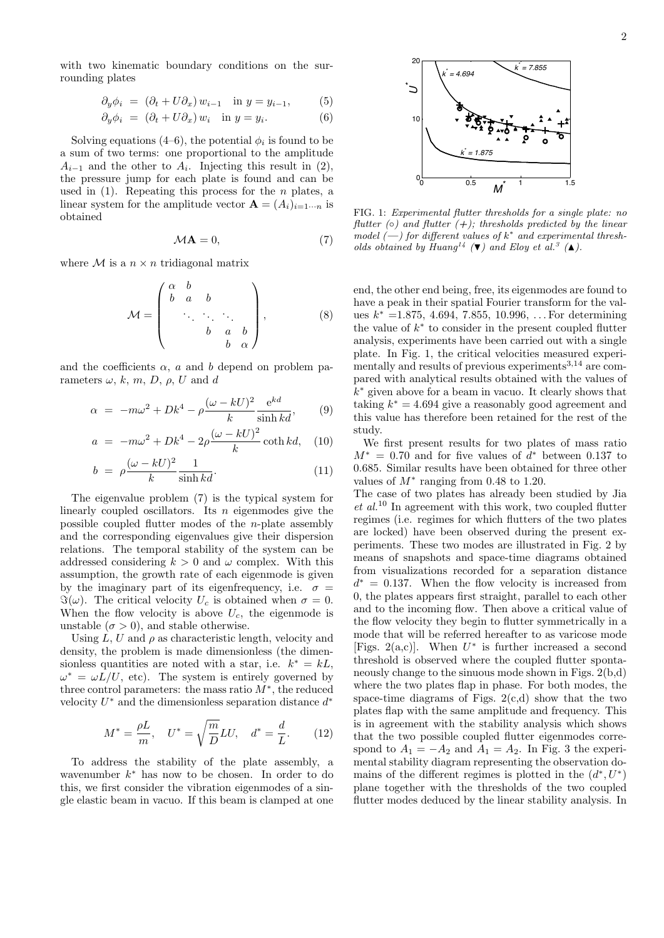$$
\partial_y \phi_i = (\partial_t + U \partial_x) w_{i-1} \quad \text{in } y = y_{i-1}, \tag{5}
$$

$$
\partial_y \phi_i = (\partial_t + U \partial_x) w_i \quad \text{in } y = y_i. \tag{6}
$$

Solving equations (4–6), the potential  $\phi_i$  is found to be a sum of two terms: one proportional to the amplitude  $A_{i-1}$  and the other to  $A_i$ . Injecting this result in (2), the pressure jump for each plate is found and can be used in  $(1)$ . Repeating this process for the *n* plates, a linear system for the amplitude vector  $\mathbf{A} = (A_i)_{i=1\cdots n}$  is obtained

$$
M\mathbf{A} = 0,\t(7)
$$

where  $M$  is a  $n \times n$  tridiagonal matrix

$$
\mathcal{M} = \begin{pmatrix} \alpha & b & & \\ b & a & b & \\ & \ddots & \ddots & \ddots & \\ & & b & a & b \\ & & b & \alpha \end{pmatrix},\tag{8}
$$

and the coefficients  $\alpha$ , a and b depend on problem parameters  $\omega$ , k, m, D,  $\rho$ , U and d

$$
\alpha = -m\omega^2 + Dk^4 - \rho \frac{(\omega - kU)^2}{k} \frac{e^{kd}}{\sinh kd},\qquad(9)
$$

$$
a = -m\omega^2 + Dk^4 - 2\rho \frac{(\omega - kU)^2}{k} \coth kd, \quad (10)
$$

$$
b = \rho \frac{(\omega - kU)^2}{k} \frac{1}{\sinh kd}.
$$
 (11)

The eigenvalue problem (7) is the typical system for linearly coupled oscillators. Its  $n$  eigenmodes give the possible coupled flutter modes of the n-plate assembly and the corresponding eigenvalues give their dispersion relations. The temporal stability of the system can be addressed considering  $k > 0$  and  $\omega$  complex. With this assumption, the growth rate of each eigenmode is given by the imaginary part of its eigenfrequency, i.e.  $\sigma =$  $\Im(\omega)$ . The critical velocity  $U_c$  is obtained when  $\sigma = 0$ . When the flow velocity is above  $U_c$ , the eigenmode is unstable  $(\sigma > 0)$ , and stable otherwise.

Using  $L, U$  and  $\rho$  as characteristic length, velocity and density, the problem is made dimensionless (the dimensionless quantities are noted with a star, i.e.  $k^* = kL$ ,  $\omega^* = \omega L/U$ , etc). The system is entirely governed by three control parameters: the mass ratio  $M^*$ , the reduced velocity  $U^*$  and the dimensionless separation distance  $d^*$ 

$$
M^* = \frac{\rho L}{m}, \quad U^* = \sqrt{\frac{m}{D}} L U, \quad d^* = \frac{d}{L}.
$$
 (12)

To address the stability of the plate assembly, a wavenumber  $k^*$  has now to be chosen. In order to do this, we first consider the vibration eigenmodes of a sin-



FIG. 1: Experimental flutter thresholds for a single plate: no flutter ( $\circ$ ) and flutter ( $+$ ); thresholds predicted by the linear model  $(-)$  for different values of  $k^*$  and experimental thresholds obtained by Huang<sup>14</sup> ( $\blacktriangledown$ ) and Eloy et al.<sup>3</sup> ( $\blacktriangle$ ).

end, the other end being, free, its eigenmodes are found to have a peak in their spatial Fourier transform for the values  $k^* = 1.875, 4.694, 7.855, 10.996, \ldots$  For determining the value of  $k^*$  to consider in the present coupled flutter analysis, experiments have been carried out with a single plate. In Fig. 1, the critical velocities measured experimentally and results of previous experiments  $3,14$  are compared with analytical results obtained with the values of  $k^*$  given above for a beam in vacuo. It clearly shows that taking  $k^* = 4.694$  give a reasonably good agreement and this value has therefore been retained for the rest of the study.

We first present results for two plates of mass ratio  $M^* = 0.70$  and for five values of  $d^*$  between 0.137 to 0.685. Similar results have been obtained for three other values of  $M^*$  ranging from 0.48 to 1.20.

the pressure jump for each plats is formal satisfy the pressure in the same interest of the same interest of the same interest of the same in the same interest of the same interest in the same interest of the same interes The case of two plates has already been studied by Jia  $et~al.^{10}$  In agreement with this work, two coupled flutter regimes (i.e. regimes for which flutters of the two plates are locked) have been observed during the present experiments. These two modes are illustrated in Fig. 2 by means of snapshots and space-time diagrams obtained from visualizations recorded for a separation distance  $d^* = 0.137$ . When the flow velocity is increased from 0, the plates appears first straight, parallel to each other and to the incoming flow. Then above a critical value of the flow velocity they begin to flutter symmetrically in a mode that will be referred hereafter to as varicose mode [Figs. 2(a,c)]. When  $U^*$  is further increased a second threshold is observed where the coupled flutter spontaneously change to the sinuous mode shown in Figs. 2(b,d) where the two plates flap in phase. For both modes, the space-time diagrams of Figs.  $2(c,d)$  show that the two plates flap with the same amplitude and frequency. This is in agreement with the stability analysis which shows that the two possible coupled flutter eigenmodes correspond to  $A_1 = -A_2$  and  $A_1 = A_2$ . In Fig. 3 the experimental stability diagram representing the observation domains of the different regimes is plotted in the  $(d^*, U^*)$ plane together with the thresholds of the two coupled flutter modes deduced by the linear stability analysis. In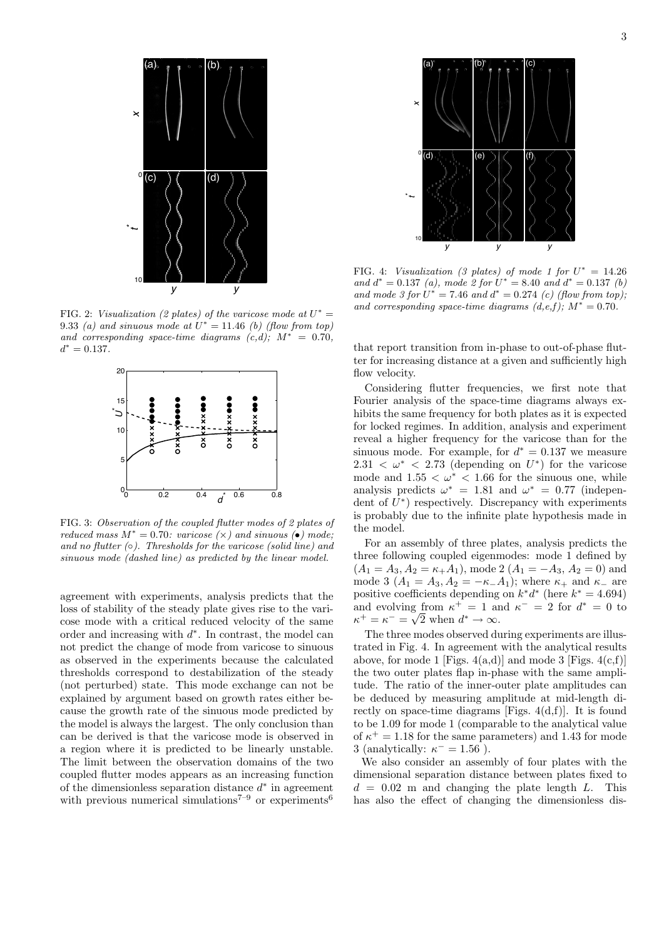

FIG. 2: Visualization (2 plates) of the varicose mode at  $U^* =$ 9.33 (a) and sinuous mode at  $U^* = 11.46$  (b) (flow from top) and corresponding space-time diagrams  $(c,d)$ ;  $M^* = 0.70$ .  $d^* = 0.137.$ 



FIG. 3: Observation of the coupled flutter modes of 2 plates of reduced mass  $M^* = 0.70$ : varicose  $(\times)$  and sinuous  $(\bullet)$  mode; and no flutter  $( \circ )$ . Thresholds for the varicose (solid line) and sinuous mode (dashed line) as predicted by the linear model.

agreement with experiments, analysis predicts that the loss of stability of the steady plate gives rise to the varicose mode with a critical reduced velocity of the same order and increasing with  $d^*$ . In contrast, the model can not predict the change of mode from varicose to sinuous as observed in the experiments because the calculated thresholds correspond to destabilization of the steady (not perturbed) state. This mode exchange can not be explained by argument based on growth rates either because the growth rate of the sinuous mode predicted by the model is always the largest. The only conclusion than can be derived is that the varicose mode is observed in a region where it is predicted to be linearly unstable. The limit between the observation domains of the two coupled flutter modes appears as an increasing function of the dimensionless separation distance  $d^*$  in agreement with previous numerical simulations<sup> $7-9$ </sup> or experiments<sup>6</sup>



FIG. 4: Visualization (3 plates) of mode 1 for  $U^* = 14.26$ and  $d^* = 0.137$  (a), mode 2 for  $U^* = 8.40$  and  $d^* = 0.137$  (b) and mode 3 for  $U^* = 7.46$  and  $d^* = 0.274$  (c) (flow from top), and corresponding space-time diagrams  $(d, e, f); M^* = 0.70$ .

that report transition from in-phase to out-of-phase flutter for increasing distance at a given and sufficiently high flow velocity.

Considering flutter frequencies, we first note that Fourier analysis of the space-time diagrams always exhibits the same frequency for both plates as it is expected for locked regimes. In addition, analysis and experiment reveal a higher frequency for the varicose than for the sinuous mode. For example, for  $d^* = 0.137$  we measure  $2.31 < \omega^* < 2.73$  (depending on  $U^*$ ) for the varicose mode and  $1.55 < \omega^* < 1.66$  for the sinuous one, while analysis predicts  $\omega^* = 1.81$  and  $\omega^* = 0.77$  (independent of  $U^*$ ) respectively. Discrepancy with experiments is probably due to the infinite plate hypothesis made in the model.

For an assembly of three plates, analysis predicts the three following coupled eigenmodes: mode 1 defined by  $(A_1 = A_3, A_2 = \kappa_+ A_1)$ , mode 2  $(A_1 = -A_3, A_2 = 0)$  and mode 3 ( $A_1 = A_3, A_2 = -\kappa_-\hat{A}_1$ ); where  $\kappa_+$  and  $\kappa_-$  are positive coefficients depending on  $k^*d^*$  (here  $k^* = 4.694$ ) and evolving from  $\kappa^+ = 1$  and  $\kappa^- = 2$  for  $d^* = 0$  to  $\kappa^+ = \kappa^- = \sqrt{2}$  when  $d^* \to \infty$ .

The three modes observed during experiments are illustrated in Fig. 4. In agreement with the analytical results above, for mode 1 [Figs.  $4(a,d)$ ] and mode 3 [Figs.  $4(c,f)$ ] the two outer plates flap in-phase with the same amplitude. The ratio of the inner-outer plate amplitudes can be deduced by measuring amplitude at mid-length directly on space-time diagrams [Figs.  $4(d,f)$ ]. It is found to be 1.09 for mode 1 (comparable to the analytical value of  $\kappa^+ = 1.18$  for the same parameters) and 1.43 for mode 3 (analytically:  $\kappa^- = 1.56$ ).

We also consider an assembly of four plates with the dimensional separation distance between plates fixed to  $d = 0.02$  m and changing the plate length L. This has also the effect of changing the dimensionless dis-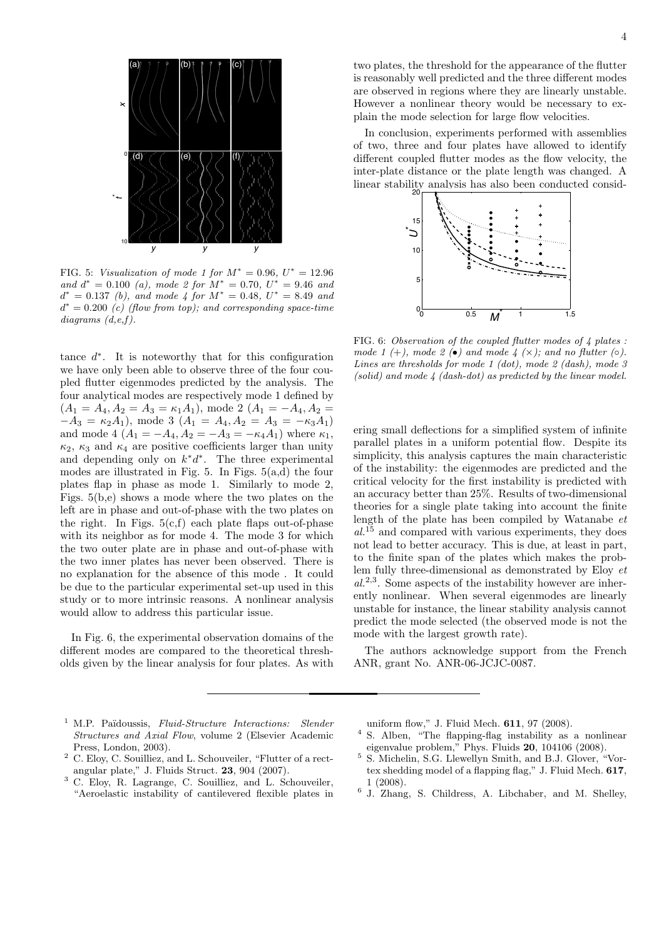

FIG. 5: Visualization of mode 1 for  $M^* = 0.96, U^* = 12.96$ and  $d^* = 0.100$  (a), mode 2 for  $M^* = 0.70$ ,  $U^* = 9.46$  and  $d^* = 0.137$  (b), and mode 4 for  $M^* = 0.48$ ,  $U^* = 8.49$  and  $d^* = 0.200$  (c) (flow from top); and corresponding space-time  $diagrams (d, e, f).$ 

tance  $d^*$ . It is noteworthy that for this configuration we have only been able to observe three of the four coupled flutter eigenmodes predicted by the analysis. The four analytical modes are respectively mode 1 defined by  $(A_1 = A_4, A_2 = A_3 = \kappa_1 A_1)$ , mode 2  $(A_1 = -A_4, A_2 =$  $-A_3 = \kappa_2 A_1$ , mode 3  $(A_1 = A_4, A_2 = A_3 = -\kappa_3 A_1)$ and mode 4  $(A_1 = -A_4, A_2 = -A_3 = -\kappa_4 A_1)$  where  $\kappa_1$ ,  $\kappa_2$ ,  $\kappa_3$  and  $\kappa_4$  are positive coefficients larger than unity and depending only on  $k * d *$ . The three experimental modes are illustrated in Fig. 5. In Figs. 5(a,d) the four plates flap in phase as mode 1. Similarly to mode 2, Figs. 5(b,e) shows a mode where the two plates on the left are in phase and out-of-phase with the two plates on the right. In Figs.  $5(c,f)$  each plate flaps out-of-phase with its neighbor as for mode 4. The mode 3 for which the two outer plate are in phase and out-of-phase with the two inner plates has never been observed. There is no explanation for the absence of this mode . It could be due to the particular experimental set-up used in this study or to more intrinsic reasons. A nonlinear analysis would allow to address this particular issue.

In Fig. 6, the experimental observation domains of the different modes are compared to the theoretical thresholds given by the linear analysis for four plates. As with

two plates, the threshold for the appearance of the flutter is reasonably well predicted and the three different modes are observed in regions where they are linearly unstable. However a nonlinear theory would be necessary to explain the mode selection for large flow velocities.

In conclusion, experiments performed with assemblies of two, three and four plates have allowed to identify different coupled flutter modes as the flow velocity, the inter-plate distance or the plate length was changed. A linear stability analysis has also been conducted consid-



FIG. 6: Observation of the coupled flutter modes of 4 plates : mode 1 (+), mode 2 ( $\bullet$ ) and mode 4 ( $\times$ ); and no flutter ( $\circ$ ). Lines are thresholds for mode 1 (dot), mode 2 (dash), mode 3  $(solid)$  and mode  $4$   $(dash-dot)$  as predicted by the linear model.

ering small deflections for a simplified system of infinite parallel plates in a uniform potential flow. Despite its simplicity, this analysis captures the main characteristic of the instability: the eigenmodes are predicted and the critical velocity for the first instability is predicted with an accuracy better than 25%. Results of two-dimensional theories for a single plate taking into account the finite length of the plate has been compiled by Watanabe et  $al^{15}$  and compared with various experiments, they does not lead to better accuracy. This is due, at least in part, to the finite span of the plates which makes the problem fully three-dimensional as demonstrated by Eloy et  $al^{2,3}$ . Some aspects of the instability however are inherently nonlinear. When several eigenmodes are linearly unstable for instance, the linear stability analysis cannot predict the mode selected (the observed mode is not the mode with the largest growth rate).

The authors acknowledge support from the French ANR, grant No. ANR-06-JCJC-0087.

- <sup>1</sup> M.P. Païdoussis, Fluid-Structure Interactions: Slender Structures and Axial Flow, volume 2 (Elsevier Academic Press, London, 2003).
- <sup>2</sup> C. Eloy, C. Souilliez, and L. Schouveiler, "Flutter of a rectangular plate," J. Fluids Struct. 23, 904 (2007).
- <sup>3</sup> C. Eloy, R. Lagrange, C. Souilliez, and L. Schouveiler, "Aeroelastic instability of cantilevered flexible plates in

uniform flow," J. Fluid Mech. 611, 97 (2008).

- <sup>4</sup> S. Alben, "The flapping-flag instability as a nonlinear eigenvalue problem," Phys. Fluids 20, 104106 (2008).
- <sup>5</sup> S. Michelin, S.G. Llewellyn Smith, and B.J. Glover, "Vortex shedding model of a flapping flag," J. Fluid Mech. 617, 1 (2008).
- 6 J. Zhang, S. Childress, A. Libchaber, and M. Shelley,